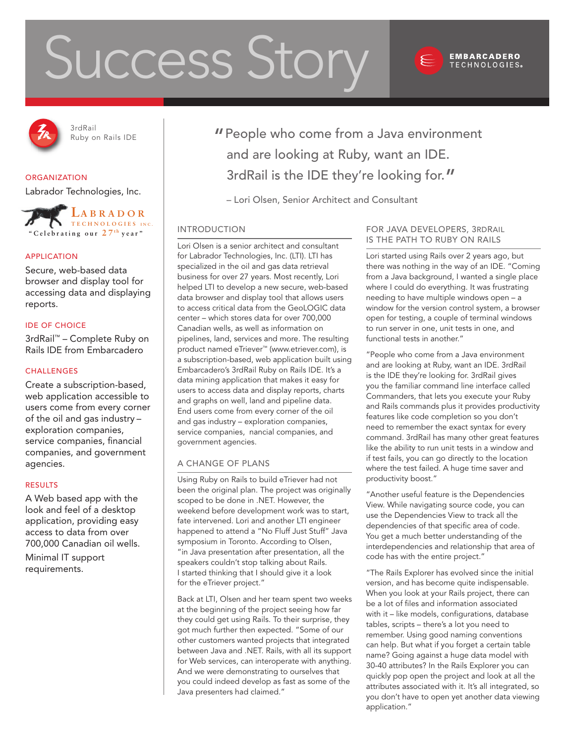# Success Story



#### **EMBARCADERO TECHNOLOGIES**®



3rdRail

# **ORGANIZATION**

Labrador Technologies, Inc.



# Application

Secure, web-based data browser and display tool for accessing data and displaying reports.

# IDE of Choice

3rdRail™ – Complete Ruby on Rails IDE from Embarcadero

# **CHALLENGES**

Create a subscription-based, web application accessible to users come from every corner of the oil and gas industry – exploration companies, service companies, financial companies, and government agencies.

# Results

A Web based app with the look and feel of a desktop application, providing easy access to data from over 700,000 Canadian oil wells.

Minimal IT support requirements.

<sup>3rdKail</sup> Nuby on Rails IDE **Theople who come from a Java environment** and are looking at Ruby, want an IDE. 3rdRail is the IDE they're looking for."

– Lori Olsen, Senior Architect and Consultant

# Introduction

Lori Olsen is a senior architect and consultant for Labrador Technologies, Inc. (LTI). LTI has specialized in the oil and gas data retrieval business for over 27 years. Most recently, Lori helped LTI to develop a new secure, web-based data browser and display tool that allows users to access critical data from the GeoLOGIC data center – which stores data for over 700,000 Canadian wells, as well as information on pipelines, land, services and more. The resulting product named eTriever™ (www.etriever.com), is a subscription-based, web application built using Embarcadero's 3rdRail Ruby on Rails IDE. It's a data mining application that makes it easy for users to access data and display reports, charts and graphs on well, land and pipeline data. End users come from every corner of the oil and gas industry – exploration companies, service companies, nancial companies, and government agencies.

# A Change of Plans

Using Ruby on Rails to build eTriever had not been the original plan. The project was originally scoped to be done in .NET. However, the weekend before development work was to start, fate intervened. Lori and another LTI engineer happened to attend a "No Fluff Just Stuff" Java symposium in Toronto. According to Olsen, "in Java presentation after presentation, all the speakers couldn't stop talking about Rails. I started thinking that I should give it a look for the eTriever project."

Back at LTI, Olsen and her team spent two weeks at the beginning of the project seeing how far they could get using Rails. To their surprise, they got much further then expected. "Some of our other customers wanted projects that integrated between Java and .NET. Rails, with all its support for Web services, can interoperate with anything. And we were demonstrating to ourselves that you could indeed develop as fast as some of the Java presenters had claimed."

# For Java Developers, 3rdRail is the Path to Ruby on Rails

Lori started using Rails over 2 years ago, but there was nothing in the way of an IDE. "Coming from a Java background, I wanted a single place where I could do everything. It was frustrating needing to have multiple windows open – a window for the version control system, a browser open for testing, a couple of terminal windows to run server in one, unit tests in one, and functional tests in another."

"People who come from a Java environment and are looking at Ruby, want an IDE. 3rdRail is the IDE they're looking for. 3rdRail gives you the familiar command line interface called Commanders, that lets you execute your Ruby and Rails commands plus it provides productivity features like code completion so you don't need to remember the exact syntax for every command. 3rdRail has many other great features like the ability to run unit tests in a window and if test fails, you can go directly to the location where the test failed. A huge time saver and productivity boost."

"Another useful feature is the Dependencies View. While navigating source code, you can use the Dependencies View to track all the dependencies of that specific area of code. You get a much better understanding of the interdependencies and relationship that area of code has with the entire project."

"The Rails Explorer has evolved since the initial version, and has become quite indispensable. When you look at your Rails project, there can be a lot of files and information associated with it – like models, configurations, database tables, scripts – there's a lot you need to remember. Using good naming conventions can help. But what if you forget a certain table name? Going against a huge data model with 30-40 attributes? In the Rails Explorer you can quickly pop open the project and look at all the attributes associated with it. It's all integrated, so you don't have to open yet another data viewing application."